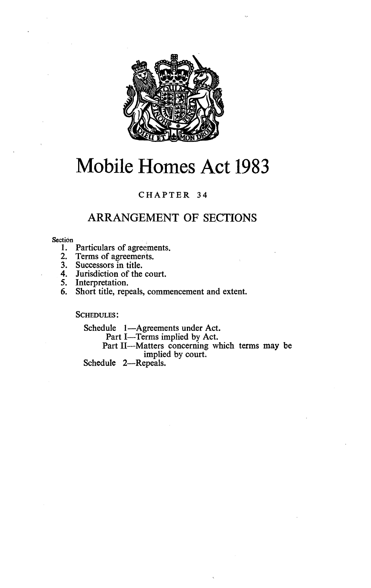

# Mobile Homes Act 1983

# CHAPTER 34

# ARRANGEMENT OF SECTIONS

#### Section

- 1. Particulars of agreements.
- 2. Terms of agreements.
- 3. Successors in title.
- 4. Jurisdiction of the court.
- 5. Interpretation.<br>6. Short title, rep
- Short title, repeals, commencement and extent.

SCHEDULES :

Schedule 1-Agreements under Act.

Part I-Terms implied by Act.

Part II-Matters concerning which terms may be implied by court.

Schedule 2-Repeals.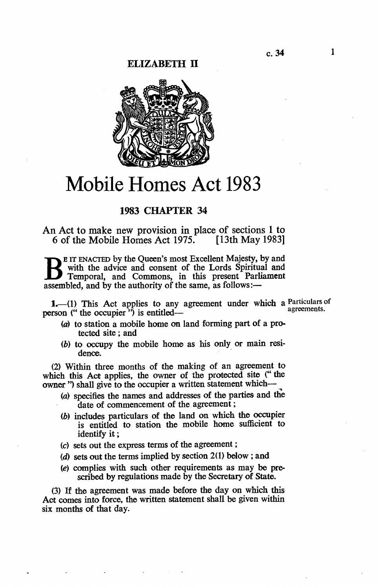### ELIZABETH II



# Mobile Homes Act 1983

# 1983 CHAPTER 34

An Act to make new provision in place of sections 1 to 6 of the Mobile Homes Act 1975. [13th May 1983]

B <sup>ETT</sup> ENACTED by the Queen's host Excellent Majesty, by and<br>
Temporal, and Commons, in this present Parliament<br>
assembled and by the authority of the same as follows:—  $E$  IT ENACTED by the Queen's most Excellent Majesty, by and with the advice and consent of the Lords Spiritual and assembled, and by the authority of the same, as follows: $-$ 

 $1,-(1)$  This Act applies to any agreement under which a Particulars of agreements. person (" the occupier") is entitled-

- (a) to station a mobile home on land forming part of a protected site ; and
- (b) to occupy the mobile home as his only or main residence.

(2) Within three months of the making of an agreement to which this Act applies, the owner of the protected site (" the owner ") shall give to the occupier a written statement which-

- (a) specifies the names and addresses of the parties and the date of commencement of the agreement;
- (b) includes particulars of the land on which the occupier is entitled to station the mobile home sufficient to identify it ;
- (c) sets out the express terms of the agreement ;
- (d) sets out the terms implied by section  $2(1)$  below; and
- (e) complies with such other requirements as may be prescribed by regulations made by the Secretary of State.

(3) If the agreement was made before the day on which this Act comes into force, the written statement shall be given within six months of that day.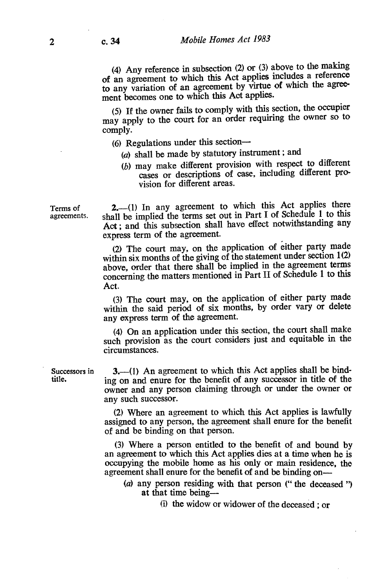(4) Any reference in subsection (2) or (3) above to the making of an agreement to which this Act applies includes a reference to any variation of an agreement by virtue of which the agreement becomes one to which this Act applies.

(5) If the owner fails to comply with this section, the occupier may apply to the court for an order requiring the owner so to comply.

- $(6)$  Regulations under this section--
	- (a) shall be made by statutory instrument ; and
	- (b) may make different provision with respect to different cases or descriptions of case, including different provision for different areas.

Terms of 2.—(1) In any agreement to which this Act applies there agreements. shall be implied the terms set out in Part I of Schedule 1 to this shall be implied the terms set out in Part I of Schedule 1 to this Act; and this subsection shall have effect notwithstanding any express term of the agreement.

> (2) The court may, on the application of either party made within six months of the giving of the statement under section 1(2) above, order that there shall be implied in the agreement terms concerning the matters mentioned in Part II of Schedule 1 to this Act.

> (3) The court may, on the application of either party made within the said period of six months, by order vary or delete any express term of the agreement.

> (4) On an application under this section, the court shall make such provision as the court considers just and equitable in the circumstances.

Successors in  $3,-(1)$  An agreement to which this Act applies shall be bind-<br>title.  $\frac{3}{100}$  on and enure for the benefit of any successor in title of the ing on and enure for the benefit of any successor in title of the owner and any person claiming through or under the owner or any such successor.

> (2) Where an agreement to which this Act applies is lawfully assigned to any person, the agreement shall enure for the benefit of and be binding on that person.

> (3) Where a person entitled to the benefit of and bound by an agreement to which this Act applies dies at a time when he is occupying the mobile home as his only or main residence, the agreement shall enure for the benefit of and be binding on-

- (a) any person residing with that person (" the deceased ") at that time being-
	- (i) the widow or widower of the deceased ; or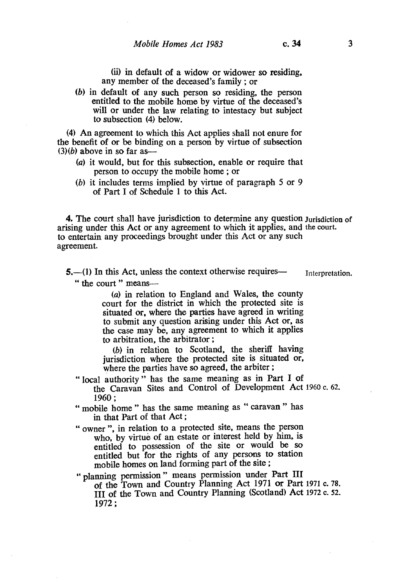(ii) in default of a widow or widower so residing, any member of the deceased's family ; or

(b) in default of any such person so residing, the person entitled to the mobile home by virtue of the deceased's will or under the law relating to intestacy but subject to subsection (4) below.

(4) An agreement to which this Act applies shall not enure for the benefit of or be binding on a person by virtue of subsection  $(3)(b)$  above in so far as-

- (a) it would, but for this subsection, enable or require that person to occupy the mobile home ; or
- (b) it includes terms implied by virtue of paragraph 5 or 9 of Part I of Schedule 1 to this Act.

4. The court shall have jurisdiction to determine any question Jurisdiction of arising under this Act or any agreement to which it applies, and the court. to entertain any proceedings brought under this Act or any such agreement.

 $5.$ —(1) In this Act, unless the context otherwise requires— Interpretation. " the court " means--

> (a) in relation to England and Wales, the county court for the district in which the protected site is situated or, where the parties have agreed in writing to submit any question arising under this Act or, as the case may be, any agreement to which it applies to arbitration, the arbitrator ;

> (b) in relation to Scotland, the sheriff having jurisdiction where the protected site is situated or, where the parties have so agreed, the arbiter;

- " local authority " has the same meaning as in Part I of the Caravan Sites and Control of Development Act 1960 c. 62. 1960 ;
- " mobile home " has the same meaning as " caravan " has in that Part of that Act ;
- " owner ", in relation to a protected site, means the person who, by virtue of an estate or interest held by him, is entitled to possession of the site or would be so entitled but for the rights of any persons to station mobile homes on land forming part of the site ;
- " planning permission " means permission under Part III of the Town and Country Planning Act 1971 or Part 1971 c. 78. III of the Town and Country Planning (Scotland) Act 1972 c. 52. 1972 ;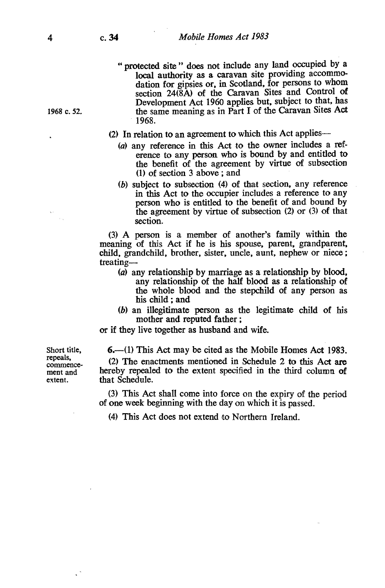- " protected site " does not include any land occupied by <sup>a</sup> local authority as a caravan site providing accommodation for gipsies or, in Scotland, for persons to whom section 24(8A) of the Caravan Sites and Control of Development Act 1960 applies but, subject to that, has 1968 c. 52. the same meaning as in Part I of the Caravan Sites Act 1968.
	- (2) In relation to an agreement to which this Act applies-
		- (a) any reference in this Act to the owner includes a reference to any person who is bound by and entitled to the benefit of the agreement by virtue of subsection (1) of section 3 above ; and
		- (b) subject to subsection (4) of that section, any reference in this Act to the occupier includes a reference to any person who is entitled to the benefit of and bound by the agreement by virtue of subsection (2) or (3) of that section.

(3) A person is a member of another's family within the meaning of this Act if he is his spouse, parent, grandparent, child, grandchild, brother, sister, uncle, aunt, nephew or niece ; treating-

- (a) any relationship by marriage as a relationship by blood, any relationship of the half blood as a relationship of the whole blood and the stepchild of any person as his child ; and
- (b) an illegitimate person as the legitimate child of his mother and reputed father ;

or if they live together as husband and wife.

Short title,  $\qquad 6, \qquad$  (1) This Act may be cited as the Mobile Homes Act 1983. repeals, (2) The enactments mentioned in Schedule 2 to this Act are commencement and hereby repealed to the extent specified in the third column of extent. that Schedule.

> (3) This Act shall come into force on the expiry of the period of one week beginning with the day on which it is passed.

(4) This Act does not extend to Northern Ireland.

 $\sim$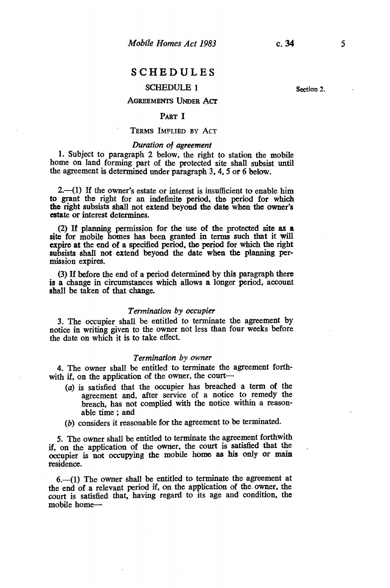# SCHEDULES

# SCHEDULE I

## AGREEMENTS UNDER Acr

### PART I

#### TERMS IMPLIED BY ACT

#### Duration of agreement

1. Subject to paragraph 2 below, the right to station the mobile home on land forming part of the protected site shall subsist until the agreement is determined under paragraph 3, 4, 5 or 6 below.

 $2.$ —(1) If the owner's estate or interest is insufficient to enable him to grant the right for an indefinite period, the period for which the right subsists shall not extend beyond the date when the owner's estate or interest determines.

(2) If planning permission for the use of the protected site as <sup>a</sup> site for mobile homes has been granted in terms such that it will expire at the end of a specified period, the period for which the right subsists shall not extend beyond the date when the planning permission expires.

(3) If before the end of a period determined by this paragraph there is a change in circumstances which allows a longer period, account shall be taken of that change.

#### Termination by occupier

3. The occupier shall be entitled to terminate the agreement by notice in writing given to the owner not less than four weeks before the date on which it is to take effect.

#### Termination by owner

4. The owner shall be entitled to terminate the agreement forthwith if, on the application of the owner, the court

- (a) is satisfied that the occupier has breached a term of the agreement and, after service of a notice to remedy the breach, has not complied with the notice within a reasonable time ; and
- (b) considers it reasonable for the agreement to be terminated.

5. The owner shall be entitled to terminate the agreement forthwith if, on the application of the owner, the court is satisfied that the occupier is not occupying the mobile home as his only or main residence.

6.-(1) The owner shall be entitled to terminate the agreement at the end of a relevant period if, on the application of the, owner, the court is satisfied that, having regard to its age and condition, the mobile home-

Section 2.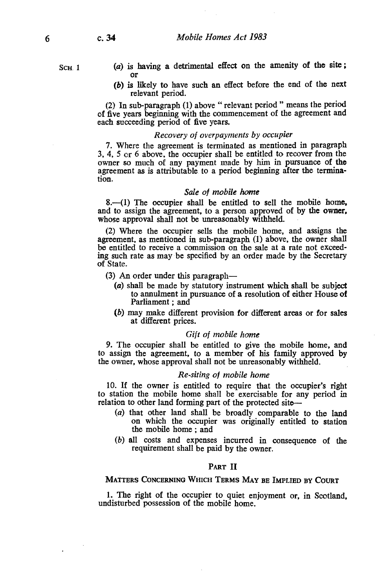6 c. 34

SCH<sub>1</sub>

- $(a)$  is having a detrimental effect on the amenity of the site; or
- (b) is likely to have such an effect before the end of the next relevant period.

(2) In sub-paragraph (1) above " relevant period " means the period of five years beginning with the commencement of the agreement and each succeeding period of five years.

#### Recovery of overpayments by occupier

7. Where the agreement is terminated as mentioned in paragraph 3, 4, 5 or 6 above, the occupier shall be entitled to recover from the owner so much of any payment made by him in pursuance of the agreement as is attributable to a period beginning after the termination.

#### Sale of mobile home

8.-(1) The occupier shall be entitled to sell the mobile home, and to assign the agreement, to a person approved of by the owner, whose approval shall not be unreasonably withheld.

(2) Where the occupier sells the mobile home, and assigns the agreement, as mentioned in sub-paragraph (1) above, the owner shall be entitled to receive a commission on the sale at a rate not exceeding such rate as may be specified by an order made by the Secretary of State.

- (3) An order under this paragraph-
	- (a) shall be made by statutory instrument which shall be subject to annulment in pursuance of a resolution of either House of Parliament ; and
	- (b) may make different provision for different areas or for sales at different prices.

#### Gift of mobile home

9. The occupier shall be entitled to give the mobile home, and to assign the agreement, to a member of his family approved by the owner, whose approval shall not be unreasonably withheld.

#### Re-siting of mobile home

10. If the owner is entitled to require that the occupier's right to station the mobile home shall be exercisable for any period in relation to other land forming part of the protected site-

- (a) that other land shall be broadly comparable to the land on which the occupier was originally entitled to station the mobile home ; and
- (b) all costs and expenses incurred in consequence of the requirement shall be paid by the owner.

#### PART II

#### MATTERS CONCERNING WHICH TERMS MAY BE IMPLIED BY COURT

1. The right of the occupier to quiet enjoyment or, in Scotland, undisturbed possession of the mobile home.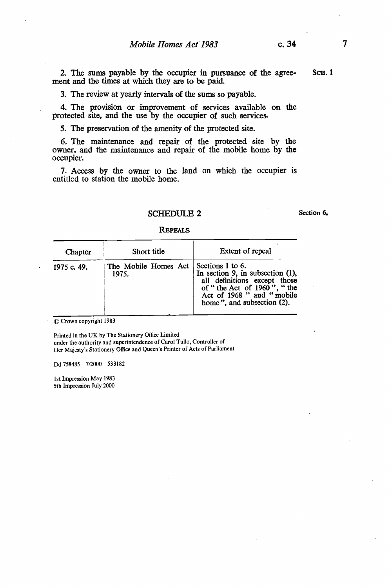2. The sums payable by the occupier in pursuance of the agree- ScH. 1 ment and the times at which they are to be paid.

3. The review at yearly intervals of the sums so payable.

4. The provision or improvement of services available on the protected site, and the use by the occupier of such services.

5. The preservation of the amenity of the protected site.

6. The maintenance and repair of the protected site by the owner, and the maintenance and repair of the mobile home by the occupier.

7. Access by the owner to the land on which the occupier is entitled to station the mobile home.

# SCHEDULE 2 Section 6.

#### **REPEALS**

| Chapter     | Short title                                      | Extent of repeal                                                                                                                                             |
|-------------|--------------------------------------------------|--------------------------------------------------------------------------------------------------------------------------------------------------------------|
| 1975 c. 49. | The Mobile Homes Act   Sections 1 to 6.<br>1975. | In section 9, in subsection $(1)$ ,<br>all definitions except those<br>of "the Act of 1960", "the<br>Act of 1968 " and "mobile<br>home", and subsection (2). |

© Crown copyright <sup>1983</sup>

Printed in the UK by The Stationery Office Limited under the authority and superintendence of Carol Tullo, Controller of Her Majesty's Stationery Office and Queen's Printer of Acts of Parliament

Dd 758485 7/2000 533182

1st Impression May 1983 5th Impression July 2000